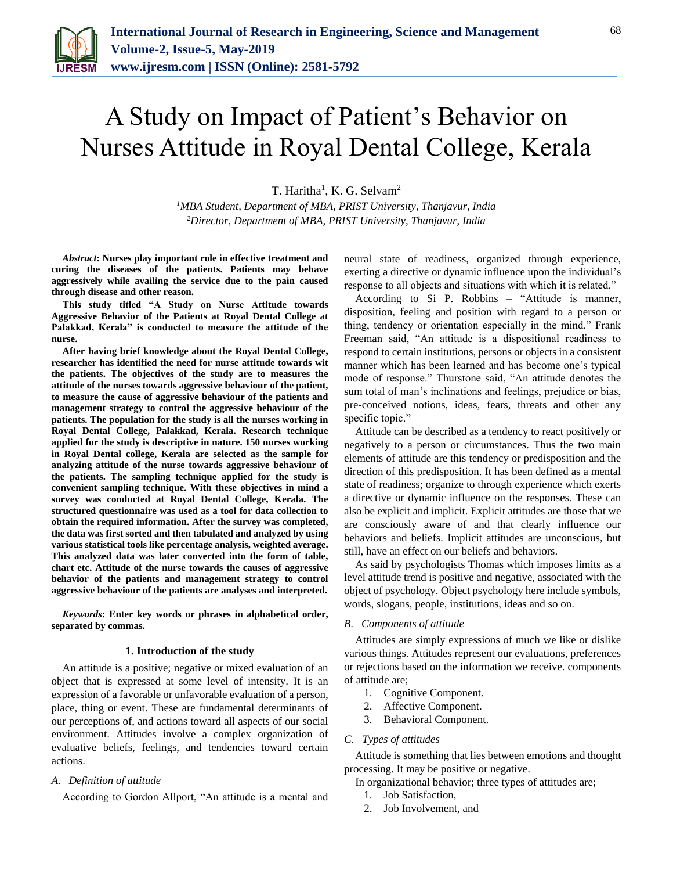

# A Study on Impact of Patient's Behavior on Nurses Attitude in Royal Dental College, Kerala

T. Haritha<sup>1</sup>, K. G. Selvam<sup>2</sup>

*<sup>1</sup>MBA Student, Department of MBA, PRIST University, Thanjavur, India 2Director, Department of MBA, PRIST University, Thanjavur, India*

*Abstract***: Nurses play important role in effective treatment and curing the diseases of the patients. Patients may behave aggressively while availing the service due to the pain caused through disease and other reason.** 

**This study titled "A Study on Nurse Attitude towards Aggressive Behavior of the Patients at Royal Dental College at Palakkad, Kerala" is conducted to measure the attitude of the nurse.** 

**After having brief knowledge about the Royal Dental College, researcher has identified the need for nurse attitude towards wit the patients. The objectives of the study are to measures the attitude of the nurses towards aggressive behaviour of the patient, to measure the cause of aggressive behaviour of the patients and management strategy to control the aggressive behaviour of the patients. The population for the study is all the nurses working in Royal Dental College, Palakkad, Kerala. Research technique applied for the study is descriptive in nature. 150 nurses working in Royal Dental college, Kerala are selected as the sample for analyzing attitude of the nurse towards aggressive behaviour of the patients. The sampling technique applied for the study is convenient sampling technique. With these objectives in mind a survey was conducted at Royal Dental College, Kerala. The structured questionnaire was used as a tool for data collection to obtain the required information. After the survey was completed, the data was first sorted and then tabulated and analyzed by using various statistical tools like percentage analysis, weighted average. This analyzed data was later converted into the form of table, chart etc. Attitude of the nurse towards the causes of aggressive behavior of the patients and management strategy to control aggressive behaviour of the patients are analyses and interpreted.** 

*Keywords***: Enter key words or phrases in alphabetical order, separated by commas.** 

#### **1. Introduction of the study**

An attitude is a positive; negative or mixed evaluation of an object that is expressed at some level of intensity. It is an expression of a favorable or unfavorable evaluation of a person, place, thing or event. These are fundamental determinants of our perceptions of, and actions toward all aspects of our social environment. Attitudes involve a complex organization of evaluative beliefs, feelings, and tendencies toward certain actions.

#### *A. Definition of attitude*

According to Gordon Allport, "An attitude is a mental and

neural state of readiness, organized through experience, exerting a directive or dynamic influence upon the individual's response to all objects and situations with which it is related."

According to Si P. Robbins – "Attitude is manner, disposition, feeling and position with regard to a person or thing, tendency or orientation especially in the mind." Frank Freeman said, "An attitude is a dispositional readiness to respond to certain institutions, persons or objects in a consistent manner which has been learned and has become one's typical mode of response." Thurstone said, "An attitude denotes the sum total of man's inclinations and feelings, prejudice or bias, pre-conceived notions, ideas, fears, threats and other any specific topic."

Attitude can be described as a tendency to react positively or negatively to a person or circumstances. Thus the two main elements of attitude are this tendency or predisposition and the direction of this predisposition. It has been defined as a mental state of readiness; organize to through experience which exerts a directive or dynamic influence on the responses. These can also be explicit and implicit. Explicit attitudes are those that we are consciously aware of and that clearly influence our behaviors and beliefs. Implicit attitudes are unconscious, but still, have an effect on our beliefs and behaviors.

As said by psychologists Thomas which imposes limits as a level attitude trend is positive and negative, associated with the object of psychology. Object psychology here include symbols, words, slogans, people, institutions, ideas and so on.

#### *B. Components of attitude*

Attitudes are simply expressions of much we like or dislike various things. Attitudes represent our evaluations, preferences or rejections based on the information we receive. components of attitude are;

- 1. Cognitive Component.
- 2. Affective Component.
- 3. Behavioral Component.

#### *C. Types of attitudes*

Attitude is something that lies between emotions and thought processing. It may be positive or negative.

- In organizational behavior; three types of attitudes are;
	- 1. Job Satisfaction,
	- 2. Job Involvement, and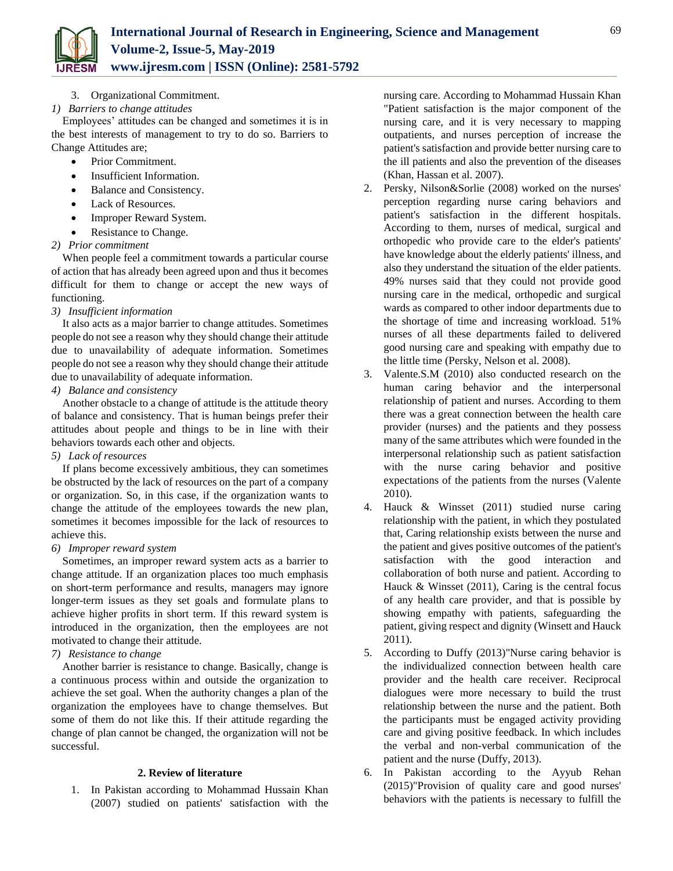

- 3. Organizational Commitment.
- *1) Barriers to change attitudes*

Employees' attitudes can be changed and sometimes it is in the best interests of management to try to do so. Barriers to Change Attitudes are;

- Prior Commitment.
- Insufficient Information.
- Balance and Consistency.
- Lack of Resources.
- Improper Reward System.
- Resistance to Change.
- *2) Prior commitment*

When people feel a commitment towards a particular course of action that has already been agreed upon and thus it becomes difficult for them to change or accept the new ways of functioning.

*3) Insufficient information*

It also acts as a major barrier to change attitudes. Sometimes people do not see a reason why they should change their attitude due to unavailability of adequate information. Sometimes people do not see a reason why they should change their attitude due to unavailability of adequate information.

*4) Balance and consistency*

Another obstacle to a change of attitude is the attitude theory of balance and consistency. That is human beings prefer their attitudes about people and things to be in line with their behaviors towards each other and objects.

*5) Lack of resources*

If plans become excessively ambitious, they can sometimes be obstructed by the lack of resources on the part of a company or organization. So, in this case, if the organization wants to change the attitude of the employees towards the new plan, sometimes it becomes impossible for the lack of resources to achieve this.

*6) Improper reward system*

Sometimes, an improper reward system acts as a barrier to change attitude. If an organization places too much emphasis on short-term performance and results, managers may ignore longer-term issues as they set goals and formulate plans to achieve higher profits in short term. If this reward system is introduced in the organization, then the employees are not motivated to change their attitude.

# *7) Resistance to change*

Another barrier is resistance to change. Basically, change is a continuous process within and outside the organization to achieve the set goal. When the authority changes a plan of the organization the employees have to change themselves. But some of them do not like this. If their attitude regarding the change of plan cannot be changed, the organization will not be successful.

#### **2. Review of literature**

1. In Pakistan according to Mohammad Hussain Khan (2007) studied on patients' satisfaction with the nursing care. According to Mohammad Hussain Khan "Patient satisfaction is the major component of the nursing care, and it is very necessary to mapping outpatients, and nurses perception of increase the patient's satisfaction and provide better nursing care to the ill patients and also the prevention of the diseases (Khan, Hassan et al. 2007).

- 2. Persky, Nilson&Sorlie (2008) worked on the nurses' perception regarding nurse caring behaviors and patient's satisfaction in the different hospitals. According to them, nurses of medical, surgical and orthopedic who provide care to the elder's patients' have knowledge about the elderly patients' illness, and also they understand the situation of the elder patients. 49% nurses said that they could not provide good nursing care in the medical, orthopedic and surgical wards as compared to other indoor departments due to the shortage of time and increasing workload. 51% nurses of all these departments failed to delivered good nursing care and speaking with empathy due to the little time (Persky, Nelson et al. 2008).
- 3. Valente.S.M (2010) also conducted research on the human caring behavior and the interpersonal relationship of patient and nurses. According to them there was a great connection between the health care provider (nurses) and the patients and they possess many of the same attributes which were founded in the interpersonal relationship such as patient satisfaction with the nurse caring behavior and positive expectations of the patients from the nurses (Valente 2010).
- 4. Hauck & Winsset (2011) studied nurse caring relationship with the patient, in which they postulated that, Caring relationship exists between the nurse and the patient and gives positive outcomes of the patient's satisfaction with the good interaction collaboration of both nurse and patient. According to Hauck & Winsset (2011), Caring is the central focus of any health care provider, and that is possible by showing empathy with patients, safeguarding the patient, giving respect and dignity (Winsett and Hauck 2011).
- 5. According to Duffy (2013)"Nurse caring behavior is the individualized connection between health care provider and the health care receiver. Reciprocal dialogues were more necessary to build the trust relationship between the nurse and the patient. Both the participants must be engaged activity providing care and giving positive feedback. In which includes the verbal and non-verbal communication of the patient and the nurse (Duffy, 2013).
- 6. In Pakistan according to the Ayyub Rehan (2015)"Provision of quality care and good nurses' behaviors with the patients is necessary to fulfill the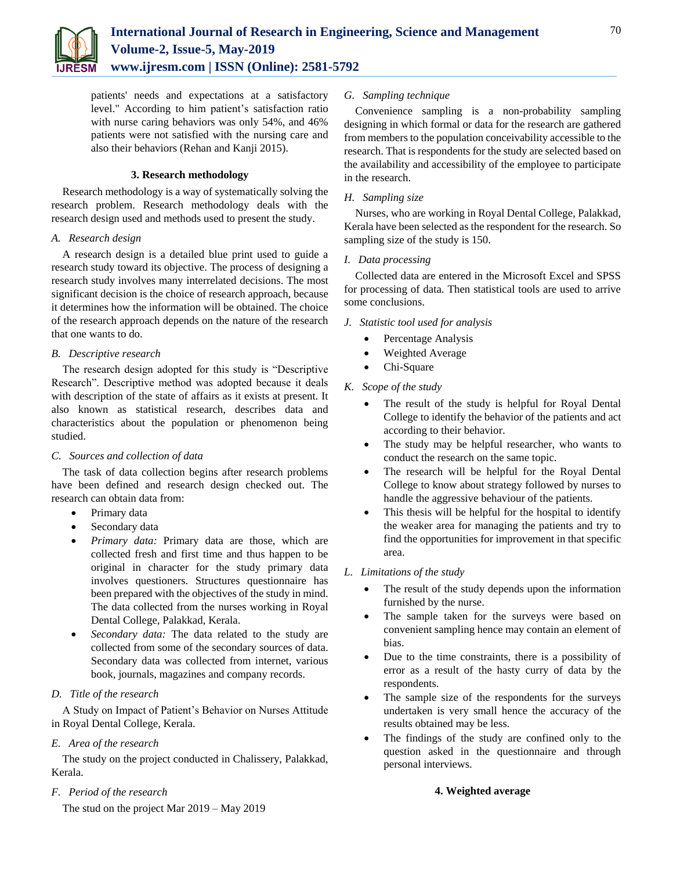

patients' needs and expectations at a satisfactory level." According to him patient's satisfaction ratio with nurse caring behaviors was only 54%, and 46% patients were not satisfied with the nursing care and also their behaviors (Rehan and Kanji 2015).

#### **3. Research methodology**

Research methodology is a way of systematically solving the research problem. Research methodology deals with the research design used and methods used to present the study.

#### *A. Research design*

A research design is a detailed blue print used to guide a research study toward its objective. The process of designing a research study involves many interrelated decisions. The most significant decision is the choice of research approach, because it determines how the information will be obtained. The choice of the research approach depends on the nature of the research that one wants to do.

#### *B. Descriptive research*

The research design adopted for this study is "Descriptive Research". Descriptive method was adopted because it deals with description of the state of affairs as it exists at present. It also known as statistical research, describes data and characteristics about the population or phenomenon being studied.

#### *C. Sources and collection of data*

The task of data collection begins after research problems have been defined and research design checked out. The research can obtain data from:

- Primary data
- Secondary data
- *Primary data:* Primary data are those, which are collected fresh and first time and thus happen to be original in character for the study primary data involves questioners. Structures questionnaire has been prepared with the objectives of the study in mind. The data collected from the nurses working in Royal Dental College, Palakkad, Kerala.
- *Secondary data:* The data related to the study are collected from some of the secondary sources of data. Secondary data was collected from internet, various book, journals, magazines and company records.

#### *D. Title of the research*

A Study on Impact of Patient's Behavior on Nurses Attitude in Royal Dental College, Kerala.

# *E. Area of the research*

The study on the project conducted in Chalissery, Palakkad, Kerala.

# *F. Period of the research*

The stud on the project Mar 2019 – May 2019

## *G. Sampling technique*

Convenience sampling is a non-probability sampling designing in which formal or data for the research are gathered from members to the population conceivability accessible to the research. That is respondents for the study are selected based on the availability and accessibility of the employee to participate in the research.

#### *H. Sampling size*

Nurses, who are working in Royal Dental College, Palakkad, Kerala have been selected as the respondent for the research. So sampling size of the study is 150.

## *I. Data processing*

Collected data are entered in the Microsoft Excel and SPSS for processing of data. Then statistical tools are used to arrive some conclusions.

- *J. Statistic tool used for analysis*
	- Percentage Analysis
	- Weighted Average
	- Chi-Square

# *K. Scope of the study*

- The result of the study is helpful for Royal Dental College to identify the behavior of the patients and act according to their behavior.
- The study may be helpful researcher, who wants to conduct the research on the same topic.
- The research will be helpful for the Royal Dental College to know about strategy followed by nurses to handle the aggressive behaviour of the patients.
- This thesis will be helpful for the hospital to identify the weaker area for managing the patients and try to find the opportunities for improvement in that specific area.

# *L. Limitations of the study*

- The result of the study depends upon the information furnished by the nurse.
- The sample taken for the surveys were based on convenient sampling hence may contain an element of bias.
- Due to the time constraints, there is a possibility of error as a result of the hasty curry of data by the respondents.
- The sample size of the respondents for the surveys undertaken is very small hence the accuracy of the results obtained may be less.
- The findings of the study are confined only to the question asked in the questionnaire and through personal interviews.

#### **4. Weighted average**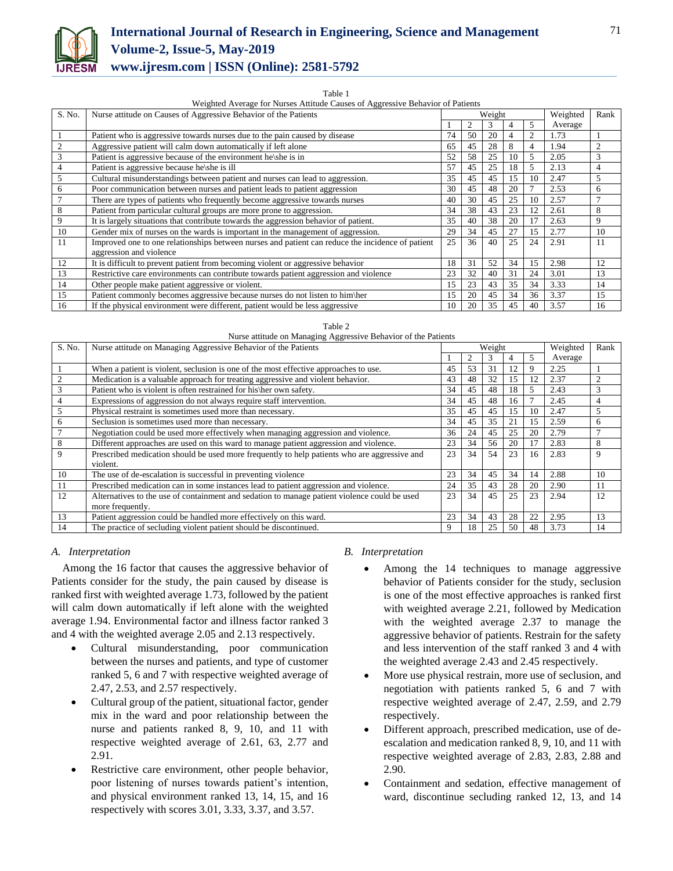

# **International Journal of Research in Engineering, Science and Management Volume-2, Issue-5, May-2019 www.ijresm.com | ISSN (Online): 2581-5792**

#### Table 1

Weighted Average for Nurses Attitude Causes of Aggressive Behavior of Patients

| S. No. | Nurse attitude on Causes of Aggressive Behavior of the Patients                                  |    | Weight               |    |    | Weighted | Rank    |                |
|--------|--------------------------------------------------------------------------------------------------|----|----------------------|----|----|----------|---------|----------------|
|        |                                                                                                  |    |                      |    | 4  | 5        | Average |                |
|        | Patient who is aggressive towards nurses due to the pain caused by disease                       | 74 | 50                   | 20 | 4  | 2        | 1.73    |                |
| 2      | Aggressive patient will calm down automatically if left alone                                    | 65 | 45                   | 28 | 8  | 4        | 1.94    | 2              |
| 3      | Patient is aggressive because of the environment he\she is in                                    | 52 | 58                   | 25 | 10 | 5        | 2.05    | 3              |
| 4      | Patient is aggressive because he/she is ill                                                      | 57 | 45                   | 25 | 18 | 5        | 2.13    | $\overline{4}$ |
| 5      | Cultural misunderstandings between patient and nurses can lead to aggression.                    | 35 | 45                   | 45 | 15 | 10       | 2.47    | $\overline{5}$ |
| 6      | Poor communication between nurses and patient leads to patient aggression                        | 30 | 45                   | 48 | 20 | 7        | 2.53    | 6              |
| 7      | There are types of patients who frequently become aggressive towards nurses                      | 40 | 30                   | 45 | 25 | 10       | 2.57    |                |
| 8      | Patient from particular cultural groups are more prone to aggression.                            | 34 | 38                   | 43 | 23 | 12       | 2.61    | 8              |
| 9      | It is largely situations that contribute towards the aggression behavior of patient.             | 35 | 40                   | 38 | 20 | 17       | 2.63    | 9              |
| 10     | Gender mix of nurses on the wards is important in the management of aggression.                  | 29 | 34                   | 45 | 27 | 15       | 2.77    | 10             |
| 11     | Improved one to one relationships between nurses and patient can reduce the incidence of patient | 25 | 36                   | 40 | 25 | 24       | 2.91    | 11             |
|        | aggression and violence                                                                          |    |                      |    |    |          |         |                |
| 12     | It is difficult to prevent patient from becoming violent or aggressive behavior                  | 18 | 31                   | 52 | 34 | 15       | 2.98    | 12             |
| 13     | Restrictive care environments can contribute towards patient aggression and violence             | 23 | 32                   | 40 | 31 | 24       | 3.01    | 13             |
| 14     | Other people make patient aggressive or violent.                                                 | 15 | 23                   | 43 | 35 | 34       | 3.33    | 14             |
| 15     | Patient commonly becomes aggressive because nurses do not listen to him\her                      | 15 | 34<br>20<br>45<br>36 |    |    | 3.37     | 15      |                |
| 16     | If the physical environment were different, patient would be less aggressive                     | 10 | 20                   | 35 | 45 | 40       | 3.57    | 16             |

|  |  | Table 2 |     |  |     |  |  |
|--|--|---------|-----|--|-----|--|--|
|  |  |         | ___ |  | $-$ |  |  |

| Nurse attitude on Managing Aggressive Behavior of the Patients |                                                                                              |        |    |    |          |      |         |                |
|----------------------------------------------------------------|----------------------------------------------------------------------------------------------|--------|----|----|----------|------|---------|----------------|
| S. No.                                                         | Nurse attitude on Managing Aggressive Behavior of the Patients                               | Weight |    |    | Weighted | Rank |         |                |
|                                                                |                                                                                              |        |    | 3  | 4        | 5    | Average |                |
|                                                                | When a patient is violent, seclusion is one of the most effective approaches to use.         | 45     | 53 | 31 | 12       | 9    | 2.25    |                |
| 2                                                              | Medication is a valuable approach for treating aggressive and violent behavior.              | 43     | 48 | 32 | 15       | 12   | 2.37    | $\overline{c}$ |
| 3                                                              | Patient who is violent is often restrained for his her own safety.                           | 34     | 45 | 48 | 18       | 5    | 2.43    | 3              |
| 4                                                              | Expressions of aggression do not always require staff intervention.                          | 34     | 45 | 48 | 16       |      | 2.45    | 4              |
| 5                                                              | Physical restraint is sometimes used more than necessary.                                    | 35     | 45 | 45 | 15       | 10   | 2.47    | 5              |
| 6                                                              | Seclusion is sometimes used more than necessary.                                             | 34     | 45 | 35 | 21       | 15   | 2.59    | 6              |
|                                                                | Negotiation could be used more effectively when managing aggression and violence.            | 36     | 24 | 45 | 25       | 20   | 2.79    | $\mathcal{I}$  |
| 8                                                              | Different approaches are used on this ward to manage patient aggression and violence.        | 23     | 34 | 56 | 20       | 17   | 2.83    | 8              |
| 9                                                              | Prescribed medication should be used more frequently to help patients who are aggressive and | 23     | 34 | 54 | 23       | 16   | 2.83    | 9              |
|                                                                | violent.                                                                                     |        |    |    |          |      |         |                |
| 10                                                             | The use of de-escalation is successful in preventing violence                                | 23     | 34 | 45 | 34       | 14   | 2.88    | 10             |
| 11                                                             | Prescribed medication can in some instances lead to patient aggression and violence.         | 24     | 35 | 43 | 28       | 20   | 2.90    | 11             |
| 12                                                             | Alternatives to the use of containment and sedation to manage patient violence could be used | 23     | 34 | 45 | 25       | 23   | 2.94    | 12             |
|                                                                | more frequently.                                                                             |        |    |    |          |      |         |                |
| 13                                                             | Patient aggression could be handled more effectively on this ward.                           | 23     | 34 | 43 | 28       | 22   | 2.95    | 13             |
| 14                                                             | The practice of secluding violent patient should be discontinued.                            | 9      | 18 | 25 | 50       | 48   | 3.73    | 14             |

#### *A. Interpretation*

Among the 16 factor that causes the aggressive behavior of Patients consider for the study, the pain caused by disease is ranked first with weighted average 1.73, followed by the patient will calm down automatically if left alone with the weighted average 1.94. Environmental factor and illness factor ranked 3 and 4 with the weighted average 2.05 and 2.13 respectively.

- Cultural misunderstanding, poor communication between the nurses and patients, and type of customer ranked 5, 6 and 7 with respective weighted average of 2.47, 2.53, and 2.57 respectively.
- Cultural group of the patient, situational factor, gender mix in the ward and poor relationship between the nurse and patients ranked 8, 9, 10, and 11 with respective weighted average of 2.61, 63, 2.77 and 2.91.
- Restrictive care environment, other people behavior, poor listening of nurses towards patient's intention, and physical environment ranked 13, 14, 15, and 16 respectively with scores 3.01, 3.33, 3.37, and 3.57.

#### *B. Interpretation*

- Among the 14 techniques to manage aggressive behavior of Patients consider for the study, seclusion is one of the most effective approaches is ranked first with weighted average 2.21, followed by Medication with the weighted average 2.37 to manage the aggressive behavior of patients. Restrain for the safety and less intervention of the staff ranked 3 and 4 with the weighted average 2.43 and 2.45 respectively.
- More use physical restrain, more use of seclusion, and negotiation with patients ranked 5, 6 and 7 with respective weighted average of 2.47, 2.59, and 2.79 respectively.
- Different approach, prescribed medication, use of deescalation and medication ranked 8, 9, 10, and 11 with respective weighted average of 2.83, 2.83, 2.88 and 2.90.
- Containment and sedation, effective management of ward, discontinue secluding ranked 12, 13, and 14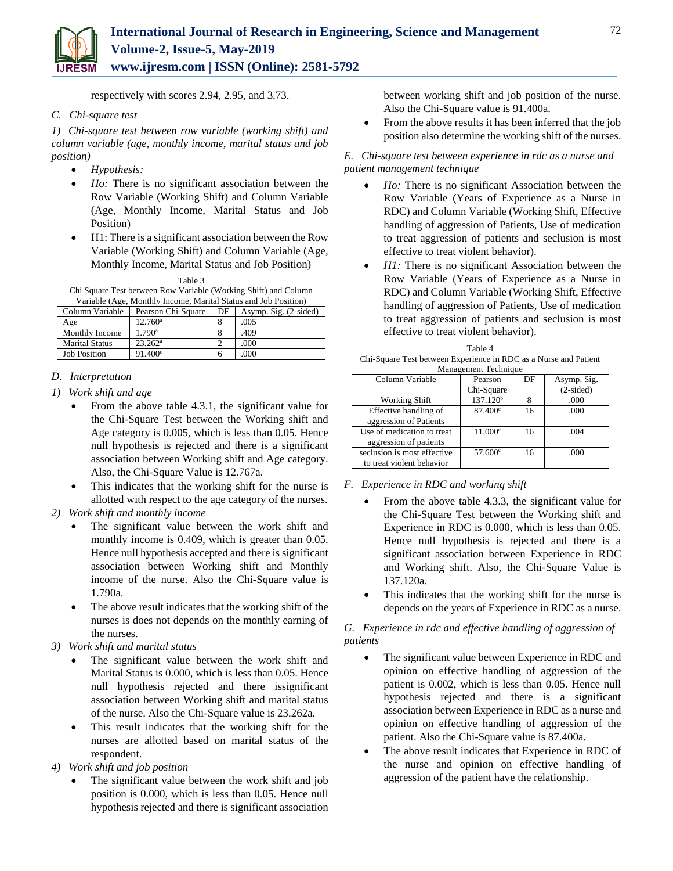

respectively with scores 2.94, 2.95, and 3.73.

#### *C. Chi-square test*

*1) Chi-square test between row variable (working shift) and column variable (age, monthly income, marital status and job position)*

- *Hypothesis:*
- *Ho:* There is no significant association between the Row Variable (Working Shift) and Column Variable (Age, Monthly Income, Marital Status and Job Position)
- H1: There is a significant association between the Row Variable (Working Shift) and Column Variable (Age, Monthly Income, Marital Status and Job Position)

| Table 3                                                         |
|-----------------------------------------------------------------|
| Chi Square Test between Row Variable (Working Shift) and Column |
| Variable (Age, Monthly Income, Marital Status and Job Position) |

| Column Variable       | Pearson Chi-Square   | DF | Asymp. Sig. (2-sided) |
|-----------------------|----------------------|----|-----------------------|
| Age                   | $12.760^{\circ}$     |    | .005                  |
| Monthly Income        | $1.790$ <sup>a</sup> | 8  | .409                  |
| <b>Marital Status</b> | $23.262^{\rm a}$     |    | .000                  |
| <b>Job Position</b>   | $91.400^{\circ}$     |    | .000                  |

## *D. Interpretation*

- *1) Work shift and age*
	- From the above table 4.3.1, the significant value for the Chi-Square Test between the Working shift and Age category is 0.005, which is less than 0.05. Hence null hypothesis is rejected and there is a significant association between Working shift and Age category. Also, the Chi-Square Value is 12.767a.
	- This indicates that the working shift for the nurse is allotted with respect to the age category of the nurses.
- *2) Work shift and monthly income*
	- The significant value between the work shift and monthly income is 0.409, which is greater than 0.05. Hence null hypothesis accepted and there is significant association between Working shift and Monthly income of the nurse. Also the Chi-Square value is 1.790a.
	- The above result indicates that the working shift of the nurses is does not depends on the monthly earning of the nurses.
- *3) Work shift and marital status*
	- The significant value between the work shift and Marital Status is 0.000, which is less than 0.05. Hence null hypothesis rejected and there issignificant association between Working shift and marital status of the nurse. Also the Chi-Square value is 23.262a.
	- This result indicates that the working shift for the nurses are allotted based on marital status of the respondent.
- *4) Work shift and job position*
	- The significant value between the work shift and job position is 0.000, which is less than 0.05. Hence null hypothesis rejected and there is significant association

between working shift and job position of the nurse. Also the Chi-Square value is 91.400a.

• From the above results it has been inferred that the job position also determine the working shift of the nurses.

#### *E. Chi-square test between experience in rdc as a nurse and patient management technique*

- *Ho:* There is no significant Association between the Row Variable (Years of Experience as a Nurse in RDC) and Column Variable (Working Shift, Effective handling of aggression of Patients, Use of medication to treat aggression of patients and seclusion is most effective to treat violent behavior).
- *H1:* There is no significant Association between the Row Variable (Years of Experience as a Nurse in RDC) and Column Variable (Working Shift, Effective handling of aggression of Patients, Use of medication to treat aggression of patients and seclusion is most effective to treat violent behavior).

| ∠ | ,000 | Table 4                                                          |
|---|------|------------------------------------------------------------------|
|   | 000  |                                                                  |
|   |      | Chi-Square Test between Experience in RDC as a Nurse and Patient |
|   |      | Management Technique                                             |

| $\ldots$                    |                      |    |             |  |  |  |  |  |
|-----------------------------|----------------------|----|-------------|--|--|--|--|--|
| Column Variable             | Pearson              | DF | Asymp. Sig. |  |  |  |  |  |
|                             | Chi-Square           |    | $(2-sided)$ |  |  |  |  |  |
| <b>Working Shift</b>        | 137.120 <sup>b</sup> |    | .000        |  |  |  |  |  |
| Effective handling of       | $87.400^\circ$       | 16 | .000        |  |  |  |  |  |
| aggression of Patients      |                      |    |             |  |  |  |  |  |
| Use of medication to treat. | $11.000^{\circ}$     | 16 | .004        |  |  |  |  |  |
| aggression of patients      |                      |    |             |  |  |  |  |  |
| seclusion is most effective | $57.600^{\circ}$     | 16 | .000        |  |  |  |  |  |
| to treat violent behavior   |                      |    |             |  |  |  |  |  |

#### *F. Experience in RDC and working shift*

- From the above table 4.3.3, the significant value for the Chi-Square Test between the Working shift and Experience in RDC is 0.000, which is less than 0.05. Hence null hypothesis is rejected and there is a significant association between Experience in RDC and Working shift. Also, the Chi-Square Value is 137.120a.
- This indicates that the working shift for the nurse is depends on the years of Experience in RDC as a nurse.

*G. Experience in rdc and effective handling of aggression of patients*

- The significant value between Experience in RDC and opinion on effective handling of aggression of the patient is 0.002, which is less than 0.05. Hence null hypothesis rejected and there is a significant association between Experience in RDC as a nurse and opinion on effective handling of aggression of the patient. Also the Chi-Square value is 87.400a.
- The above result indicates that Experience in RDC of the nurse and opinion on effective handling of aggression of the patient have the relationship.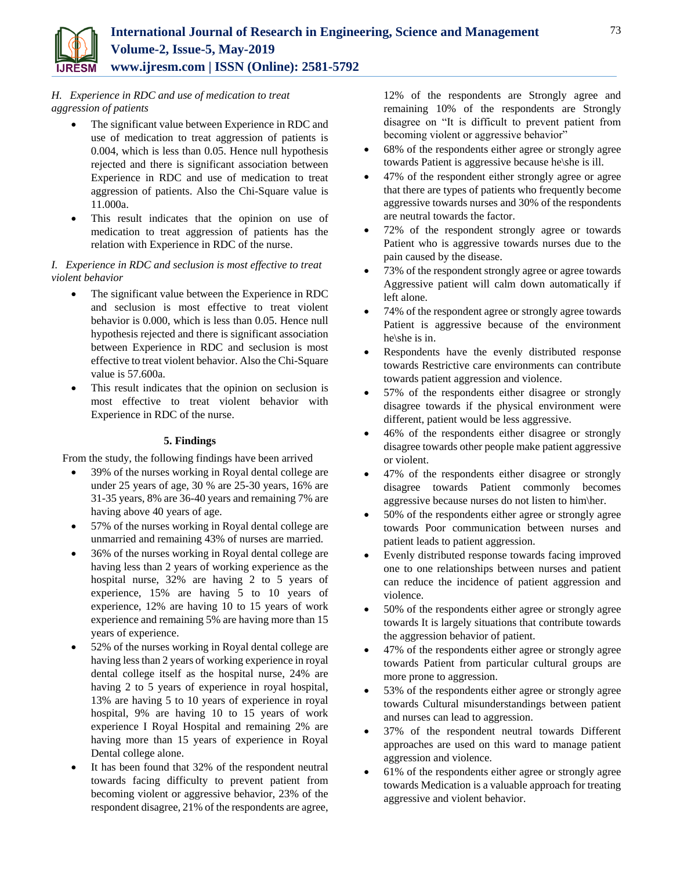

## *H. Experience in RDC and use of medication to treat aggression of patients*

- The significant value between Experience in RDC and use of medication to treat aggression of patients is 0.004, which is less than 0.05. Hence null hypothesis rejected and there is significant association between Experience in RDC and use of medication to treat aggression of patients. Also the Chi-Square value is 11.000a.
- This result indicates that the opinion on use of medication to treat aggression of patients has the relation with Experience in RDC of the nurse.

#### *I. Experience in RDC and seclusion is most effective to treat violent behavior*

- The significant value between the Experience in RDC and seclusion is most effective to treat violent behavior is 0.000, which is less than 0.05. Hence null hypothesis rejected and there is significant association between Experience in RDC and seclusion is most effective to treat violent behavior. Also the Chi-Square value is 57.600a.
- This result indicates that the opinion on seclusion is most effective to treat violent behavior with Experience in RDC of the nurse.

#### **5. Findings**

From the study, the following findings have been arrived

- 39% of the nurses working in Royal dental college are under 25 years of age, 30 % are 25-30 years, 16% are 31-35 years, 8% are 36-40 years and remaining 7% are having above 40 years of age.
- 57% of the nurses working in Royal dental college are unmarried and remaining 43% of nurses are married.
- 36% of the nurses working in Royal dental college are having less than 2 years of working experience as the hospital nurse, 32% are having 2 to 5 years of experience, 15% are having 5 to 10 years of experience, 12% are having 10 to 15 years of work experience and remaining 5% are having more than 15 years of experience.
- 52% of the nurses working in Royal dental college are having less than 2 years of working experience in royal dental college itself as the hospital nurse, 24% are having 2 to 5 years of experience in royal hospital, 13% are having 5 to 10 years of experience in royal hospital, 9% are having 10 to 15 years of work experience I Royal Hospital and remaining 2% are having more than 15 years of experience in Royal Dental college alone.
- It has been found that 32% of the respondent neutral towards facing difficulty to prevent patient from becoming violent or aggressive behavior, 23% of the respondent disagree, 21% of the respondents are agree,

12% of the respondents are Strongly agree and remaining 10% of the respondents are Strongly disagree on "It is difficult to prevent patient from becoming violent or aggressive behavior"

- 68% of the respondents either agree or strongly agree towards Patient is aggressive because he\she is ill.
- 47% of the respondent either strongly agree or agree that there are types of patients who frequently become aggressive towards nurses and 30% of the respondents are neutral towards the factor.
- 72% of the respondent strongly agree or towards Patient who is aggressive towards nurses due to the pain caused by the disease.
- 73% of the respondent strongly agree or agree towards Aggressive patient will calm down automatically if left alone.
- 74% of the respondent agree or strongly agree towards Patient is aggressive because of the environment he\she is in.
- Respondents have the evenly distributed response towards Restrictive care environments can contribute towards patient aggression and violence.
- 57% of the respondents either disagree or strongly disagree towards if the physical environment were different, patient would be less aggressive.
- 46% of the respondents either disagree or strongly disagree towards other people make patient aggressive or violent.
- 47% of the respondents either disagree or strongly disagree towards Patient commonly becomes aggressive because nurses do not listen to him\her.
- 50% of the respondents either agree or strongly agree towards Poor communication between nurses and patient leads to patient aggression.
- Evenly distributed response towards facing improved one to one relationships between nurses and patient can reduce the incidence of patient aggression and violence.
- 50% of the respondents either agree or strongly agree towards It is largely situations that contribute towards the aggression behavior of patient.
- 47% of the respondents either agree or strongly agree towards Patient from particular cultural groups are more prone to aggression.
- 53% of the respondents either agree or strongly agree towards Cultural misunderstandings between patient and nurses can lead to aggression.
- 37% of the respondent neutral towards Different approaches are used on this ward to manage patient aggression and violence.
- 61% of the respondents either agree or strongly agree towards Medication is a valuable approach for treating aggressive and violent behavior.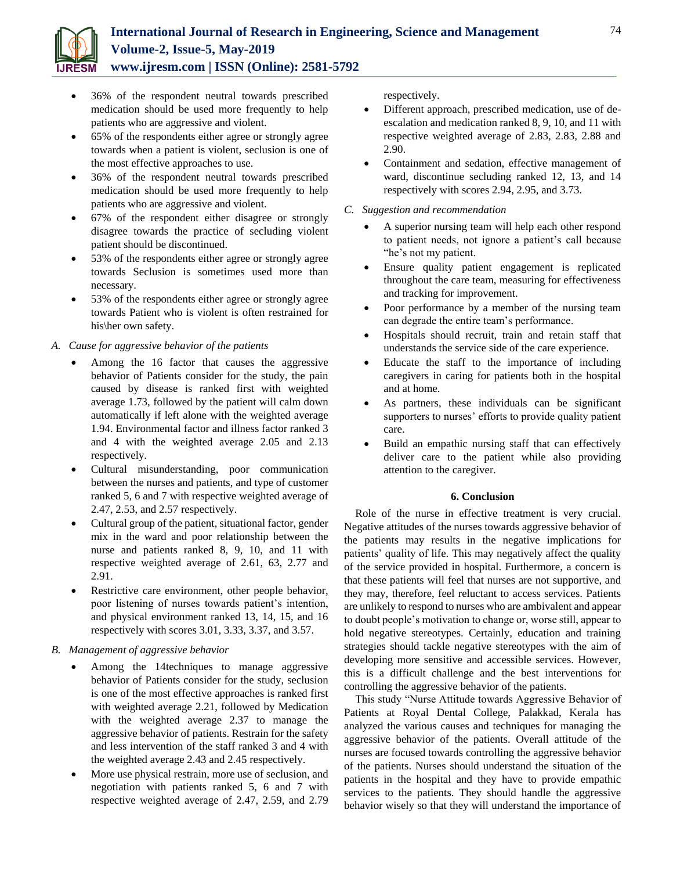

- 36% of the respondent neutral towards prescribed medication should be used more frequently to help patients who are aggressive and violent.
- 65% of the respondents either agree or strongly agree towards when a patient is violent, seclusion is one of the most effective approaches to use.
- 36% of the respondent neutral towards prescribed medication should be used more frequently to help patients who are aggressive and violent.
- 67% of the respondent either disagree or strongly disagree towards the practice of secluding violent patient should be discontinued.
- 53% of the respondents either agree or strongly agree towards Seclusion is sometimes used more than necessary.
- 53% of the respondents either agree or strongly agree towards Patient who is violent is often restrained for his\her own safety.

#### *A. Cause for aggressive behavior of the patients*

- Among the 16 factor that causes the aggressive behavior of Patients consider for the study, the pain caused by disease is ranked first with weighted average 1.73, followed by the patient will calm down automatically if left alone with the weighted average 1.94. Environmental factor and illness factor ranked 3 and 4 with the weighted average 2.05 and 2.13 respectively.
- Cultural misunderstanding, poor communication between the nurses and patients, and type of customer ranked 5, 6 and 7 with respective weighted average of 2.47, 2.53, and 2.57 respectively.
- Cultural group of the patient, situational factor, gender mix in the ward and poor relationship between the nurse and patients ranked 8, 9, 10, and 11 with respective weighted average of 2.61, 63, 2.77 and 2.91.
- Restrictive care environment, other people behavior, poor listening of nurses towards patient's intention, and physical environment ranked 13, 14, 15, and 16 respectively with scores 3.01, 3.33, 3.37, and 3.57.

#### *B. Management of aggressive behavior*

- Among the 14techniques to manage aggressive behavior of Patients consider for the study, seclusion is one of the most effective approaches is ranked first with weighted average 2.21, followed by Medication with the weighted average 2.37 to manage the aggressive behavior of patients. Restrain for the safety and less intervention of the staff ranked 3 and 4 with the weighted average 2.43 and 2.45 respectively.
- More use physical restrain, more use of seclusion, and negotiation with patients ranked 5, 6 and 7 with respective weighted average of 2.47, 2.59, and 2.79

respectively.

- Different approach, prescribed medication, use of deescalation and medication ranked 8, 9, 10, and 11 with respective weighted average of 2.83, 2.83, 2.88 and 2.90.
- Containment and sedation, effective management of ward, discontinue secluding ranked 12, 13, and 14 respectively with scores 2.94, 2.95, and 3.73.

#### *C. Suggestion and recommendation*

- A superior nursing team will help each other respond to patient needs, not ignore a patient's call because "he's not my patient.
- Ensure quality patient engagement is replicated throughout the care team, measuring for effectiveness and tracking for improvement.
- Poor performance by a member of the nursing team can degrade the entire team's performance.
- Hospitals should recruit, train and retain staff that understands the service side of the care experience.
- Educate the staff to the importance of including caregivers in caring for patients both in the hospital and at home.
- As partners, these individuals can be significant supporters to nurses' efforts to provide quality patient care.
- Build an empathic nursing staff that can effectively deliver care to the patient while also providing attention to the caregiver.

#### **6. Conclusion**

Role of the nurse in effective treatment is very crucial. Negative attitudes of the nurses towards aggressive behavior of the patients may results in the negative implications for patients' quality of life. This may negatively affect the quality of the service provided in hospital. Furthermore, a concern is that these patients will feel that nurses are not supportive, and they may, therefore, feel reluctant to access services. Patients are unlikely to respond to nurses who are ambivalent and appear to doubt people's motivation to change or, worse still, appear to hold negative stereotypes. Certainly, education and training strategies should tackle negative stereotypes with the aim of developing more sensitive and accessible services. However, this is a difficult challenge and the best interventions for controlling the aggressive behavior of the patients.

This study "Nurse Attitude towards Aggressive Behavior of Patients at Royal Dental College, Palakkad, Kerala has analyzed the various causes and techniques for managing the aggressive behavior of the patients. Overall attitude of the nurses are focused towards controlling the aggressive behavior of the patients. Nurses should understand the situation of the patients in the hospital and they have to provide empathic services to the patients. They should handle the aggressive behavior wisely so that they will understand the importance of